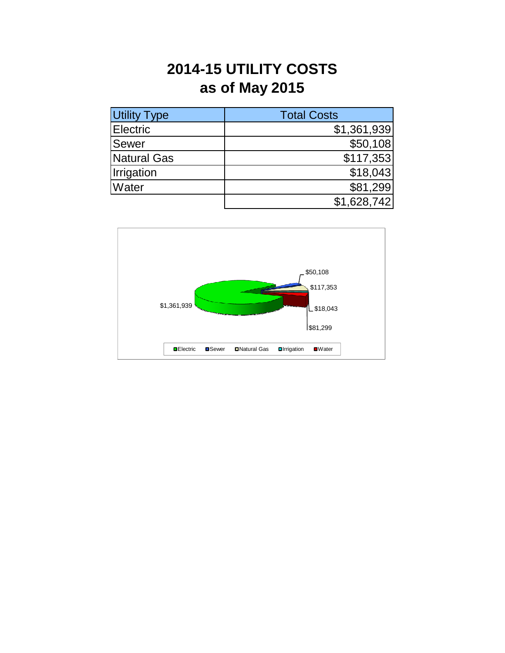## **2014-15 UTILITY COSTS as of May 2015**

| <b>Utility Type</b> | <b>Total Costs</b> |
|---------------------|--------------------|
| <b>Electric</b>     | \$1,361,939        |
| <b>Sewer</b>        | \$50,108           |
| Natural Gas         | \$117,353          |
| Irrigation          | \$18,043           |
| Water               | \$81,299           |
|                     | \$1,628,742        |